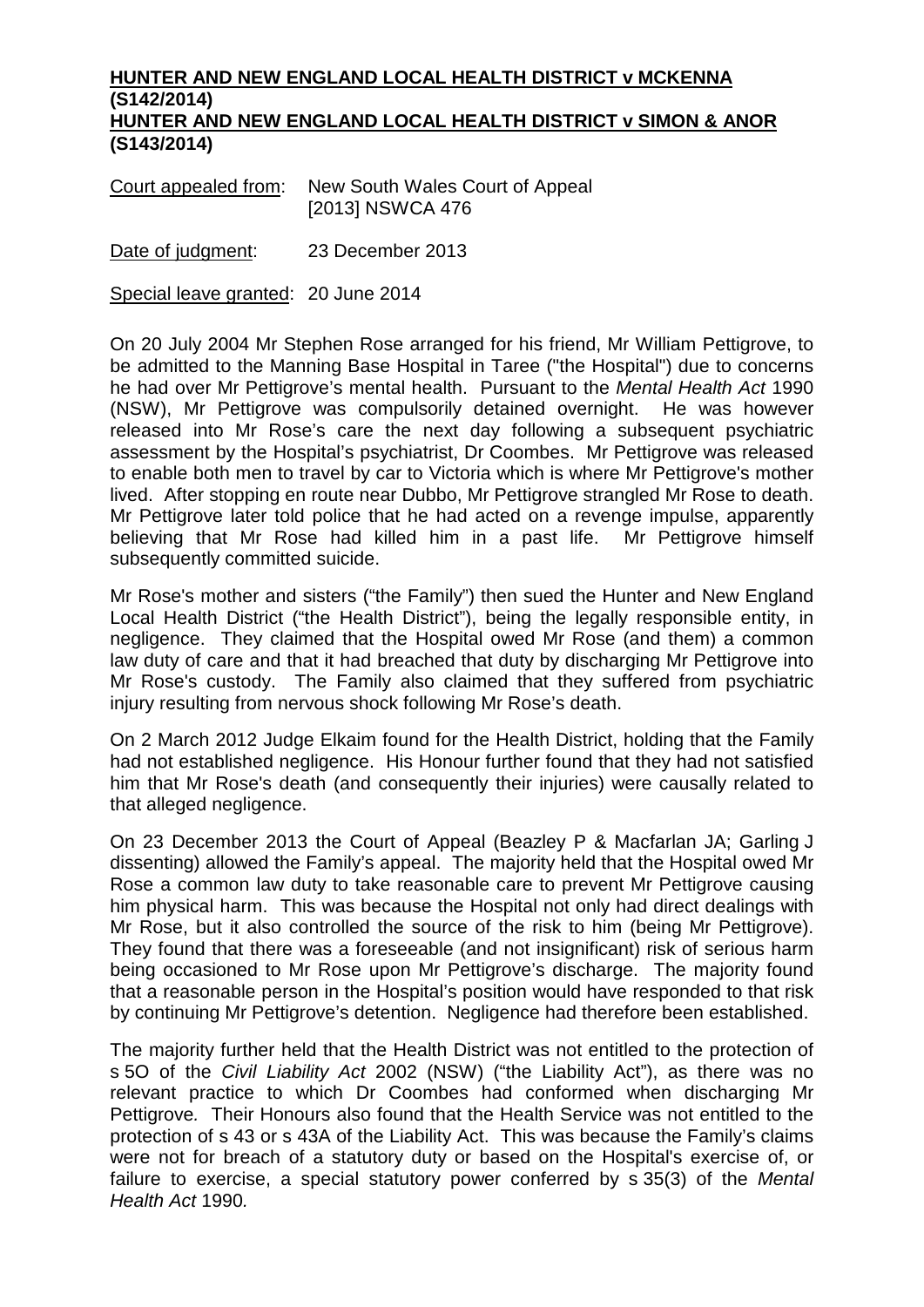## **HUNTER AND NEW ENGLAND LOCAL HEALTH DISTRICT v MCKENNA (S142/2014) HUNTER AND NEW ENGLAND LOCAL HEALTH DISTRICT v SIMON & ANOR (S143/2014)**

Court appealed from: New South Wales Court of Appeal [2013] NSWCA 476

Date of judgment: 23 December 2013

Special leave granted: 20 June 2014

On 20 July 2004 Mr Stephen Rose arranged for his friend, Mr William Pettigrove, to be admitted to the Manning Base Hospital in Taree ("the Hospital") due to concerns he had over Mr Pettigrove's mental health. Pursuant to the *Mental Health Act* 1990 (NSW), Mr Pettigrove was compulsorily detained overnight. He was however released into Mr Rose's care the next day following a subsequent psychiatric assessment by the Hospital's psychiatrist, Dr Coombes. Mr Pettigrove was released to enable both men to travel by car to Victoria which is where Mr Pettigrove's mother lived. After stopping en route near Dubbo, Mr Pettigrove strangled Mr Rose to death. Mr Pettigrove later told police that he had acted on a revenge impulse, apparently believing that Mr Rose had killed him in a past life. Mr Pettigrove himself subsequently committed suicide.

Mr Rose's mother and sisters ("the Family") then sued the Hunter and New England Local Health District ("the Health District"), being the legally responsible entity, in negligence. They claimed that the Hospital owed Mr Rose (and them) a common law duty of care and that it had breached that duty by discharging Mr Pettigrove into Mr Rose's custody. The Family also claimed that they suffered from psychiatric injury resulting from nervous shock following Mr Rose's death.

On 2 March 2012 Judge Elkaim found for the Health District, holding that the Family had not established negligence. His Honour further found that they had not satisfied him that Mr Rose's death (and consequently their injuries) were causally related to that alleged negligence.

On 23 December 2013 the Court of Appeal (Beazley P & Macfarlan JA; Garling J dissenting) allowed the Family's appeal. The majority held that the Hospital owed Mr Rose a common law duty to take reasonable care to prevent Mr Pettigrove causing him physical harm. This was because the Hospital not only had direct dealings with Mr Rose, but it also controlled the source of the risk to him (being Mr Pettigrove). They found that there was a foreseeable (and not insignificant) risk of serious harm being occasioned to Mr Rose upon Mr Pettigrove's discharge. The majority found that a reasonable person in the Hospital's position would have responded to that risk by continuing Mr Pettigrove's detention. Negligence had therefore been established.

The majority further held that the Health District was not entitled to the protection of s 5O of the *Civil Liability Act* 2002 (NSW) ("the Liability Act"), as there was no relevant practice to which Dr Coombes had conformed when discharging Mr Pettigrove*.* Their Honours also found that the Health Service was not entitled to the protection of s 43 or s 43A of the Liability Act. This was because the Family's claims were not for breach of a statutory duty or based on the Hospital's exercise of, or failure to exercise, a special statutory power conferred by s 35(3) of the *Mental Health Act* 1990*.*